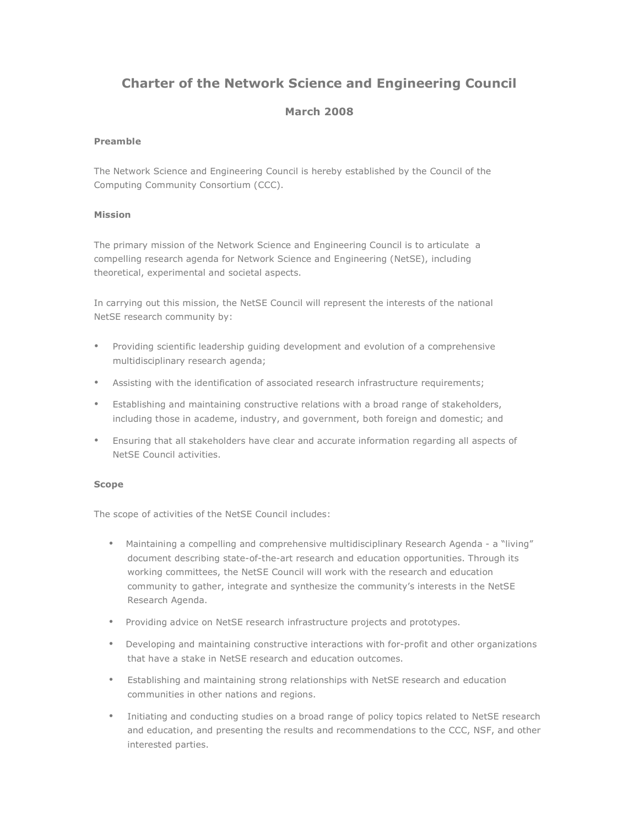# **Charter of the Network Science and Engineering Council**

## **March 2008**

## **Preamble**

The Network Science and Engineering Council is hereby established by the Council of the Computing Community Consortium (CCC).

## **Mission**

The primary mission of the Network Science and Engineering Council is to articulate a compelling research agenda for Network Science and Engineering (NetSE), including theoretical, experimental and societal aspects.

In carrying out this mission, the NetSE Council will represent the interests of the national NetSE research community by:

- Providing scientific leadership guiding development and evolution of a comprehensive multidisciplinary research agenda;
- Assisting with the identification of associated research infrastructure requirements;
- Establishing and maintaining constructive relations with a broad range of stakeholders, including those in academe, industry, and government, both foreign and domestic; and
- Ensuring that all stakeholders have clear and accurate information regarding all aspects of NetSE Council activities.

## **Scope**

The scope of activities of the NetSE Council includes:

- Maintaining a compelling and comprehensive multidisciplinary Research Agenda a "living" document describing state-of-the-art research and education opportunities. Through its working committees, the NetSE Council will work with the research and education community to gather, integrate and synthesize the community's interests in the NetSE Research Agenda.
- Providing advice on NetSE research infrastructure projects and prototypes.
- Developing and maintaining constructive interactions with for-profit and other organizations that have a stake in NetSE research and education outcomes.
- Establishing and maintaining strong relationships with NetSE research and education communities in other nations and regions.
- Initiating and conducting studies on a broad range of policy topics related to NetSE research and education, and presenting the results and recommendations to the CCC, NSF, and other interested parties.